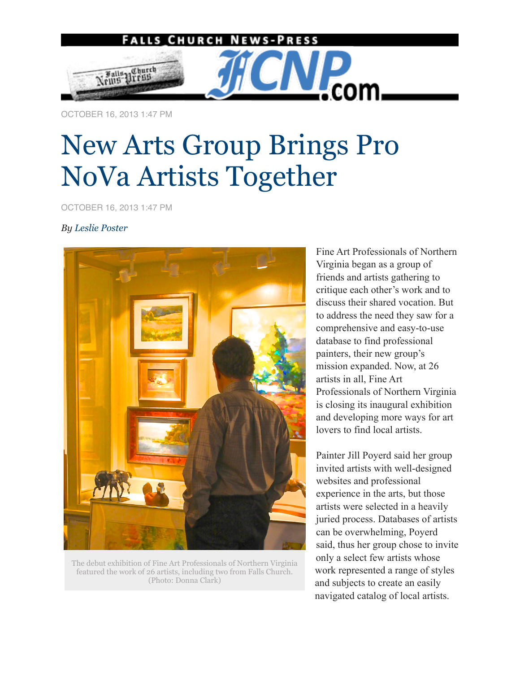

OCTOBER 16, 2013 1:47 PM

## New Arts Group Brings Pro NoVa Artists Together

OCTOBER 16, 2013 1:47 PM

## *By Leslie Poster*



The debut exhibition of Fine Art Professionals of Northern Virginia featured the work of 26 artists, including two from Falls Church. (Photo: Donna Clark)

Fine Art Professionals of Northern Virginia began as a group of friends and artists gathering to critique each other's work and to discuss their shared vocation. But to address the need they saw for a comprehensive and easy-to-use database to find professional painters, their new group's mission expanded. Now, at 26 artists in all, Fine Art Professionals of Northern Virginia is closing its inaugural exhibition and developing more ways for art lovers to find local artists.

Painter Jill Poyerd said her group invited artists with well-designed websites and professional experience in the arts, but those artists were selected in a heavily juried process. Databases of artists can be overwhelming, Poyerd said, thus her group chose to invite only a select few artists whose work represented a range of styles and subjects to create an easily navigated catalog of local artists.